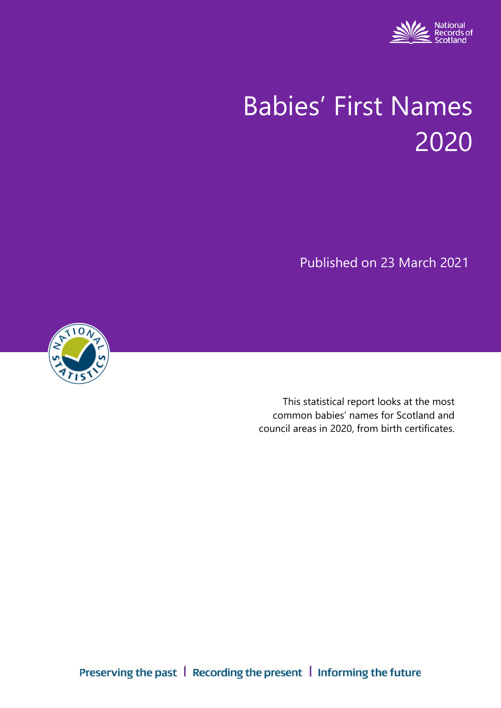

# Babies' First Names 2020

Published on 23 March 2021



This statistical report looks at the most common babies' names for Scotland and council areas in 2020, from birth certificates.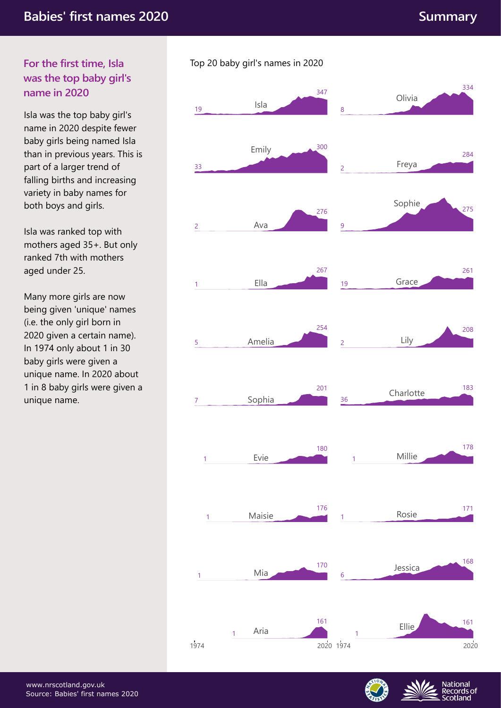# **For the first time, Isla was the top baby girl's name in 2020**

Isla was the top baby girl's name in 2020 despite fewer baby girls being named Isla than in previous years. This is part of a larger trend of falling births and increasing variety in baby names for both boys and girls.

Isla was ranked top with mothers aged 35+. But only ranked 7th with mothers aged under 25.

Many more girls are now being given 'unique' names (i.e. the only girl born in 2020 given a certain name). In 1974 only about 1 in 30 baby girls were given a unique name. In 2020 about 1 in 8 baby girls were given a unique name.

#### 19 347 33 300 2 276 1 267 5 254 7 201 8 334 2 284 9 275 19 261 2 208 36 183 Sophia 36 Charlotte Amelia 2 Lily Ella Grace 19 19 Grace Ava Sophie Emily Freya Isla Olivia 180 1 Millie 178 1 Evie 176 **Rosie** 171 1 Maisie 1 Mia 170 6 168 Jessica 161 1 Ellie 161 1974 1 Aria 2020 1974 2020

Top 20 baby girl's names in 2020



**National** Records of cotland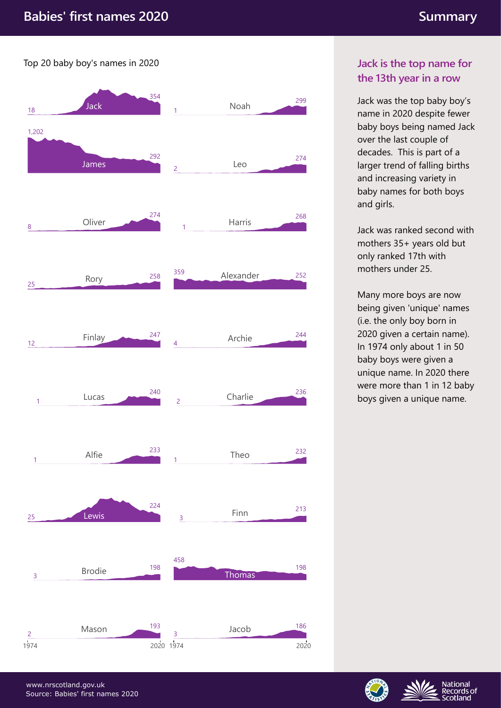Top 20 baby boy's names in 2020



## **Jack is the top name for the 13th year in a row**

Jack was the top baby boy's name in 2020 despite fewer baby boys being named Jack over the last couple of decades. This is part of a larger trend of falling births and increasing variety in baby names for both boys and girls.

Jack was ranked second with mothers 35+ years old but only ranked 17th with mothers under 25.

Many more boys are now being given 'unique' names (i.e. the only boy born in 2020 given a certain name). In 1974 only about 1 in 50 baby boys were given a unique name. In 2020 there were more than 1 in 12 baby boys given a unique name.



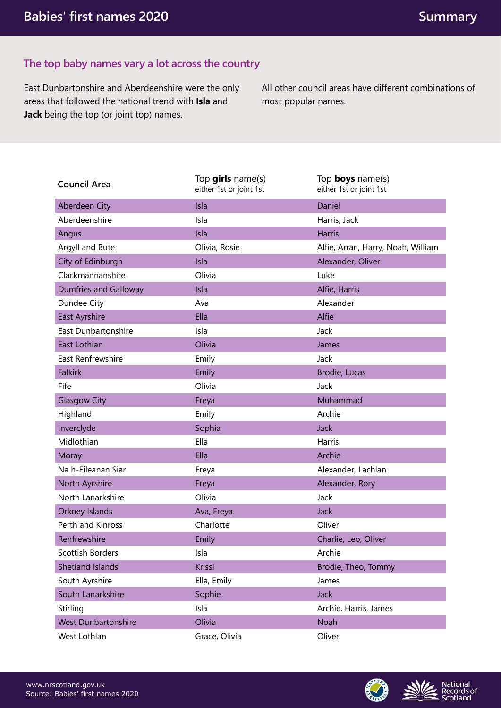## **The top baby names vary a lot across the country**

East Dunbartonshire and Aberdeenshire were the only areas that followed the national trend with **Isla** and **Jack** being the top (or joint top) names.

All other council areas have different combinations of most popular names.

| <b>Council Area</b>          | Top girls name(s)<br>either 1st or joint 1st | Top <b>boys</b> name(s)<br>either 1st or joint 1st |  |  |  |
|------------------------------|----------------------------------------------|----------------------------------------------------|--|--|--|
| Aberdeen City                | Isla                                         | Daniel                                             |  |  |  |
| Aberdeenshire                | Isla                                         | Harris, Jack                                       |  |  |  |
| Angus                        | Isla                                         | <b>Harris</b>                                      |  |  |  |
| Argyll and Bute              | Olivia, Rosie                                | Alfie, Arran, Harry, Noah, William                 |  |  |  |
| City of Edinburgh            | Isla                                         | Alexander, Oliver                                  |  |  |  |
| Clackmannanshire             | Olivia                                       | Luke                                               |  |  |  |
| <b>Dumfries and Galloway</b> | Isla                                         | Alfie, Harris                                      |  |  |  |
| Dundee City                  | Ava                                          | Alexander                                          |  |  |  |
| East Ayrshire                | Ella                                         | Alfie                                              |  |  |  |
| East Dunbartonshire          | Isla                                         | Jack                                               |  |  |  |
| East Lothian                 | Olivia                                       | James                                              |  |  |  |
| East Renfrewshire            | Emily                                        | Jack                                               |  |  |  |
| <b>Falkirk</b>               | Emily                                        | Brodie, Lucas                                      |  |  |  |
| Fife                         | Olivia                                       | Jack                                               |  |  |  |
| <b>Glasgow City</b>          | Freya                                        | Muhammad                                           |  |  |  |
| Highland                     | Emily                                        | Archie                                             |  |  |  |
| Inverclyde                   | Sophia                                       | Jack                                               |  |  |  |
| Midlothian                   | Ella                                         | Harris                                             |  |  |  |
| Moray                        | Ella                                         | Archie                                             |  |  |  |
| Na h-Eileanan Siar           | Freya                                        | Alexander, Lachlan                                 |  |  |  |
| North Ayrshire               | Freya                                        | Alexander, Rory                                    |  |  |  |
| North Lanarkshire            | Olivia                                       | Jack                                               |  |  |  |
| Orkney Islands               | Ava, Freya                                   | Jack                                               |  |  |  |
| Perth and Kinross            | Charlotte                                    | Oliver                                             |  |  |  |
| Renfrewshire                 | Emily                                        | Charlie, Leo, Oliver                               |  |  |  |
| Scottish Borders             | Isla                                         | Archie                                             |  |  |  |
| Shetland Islands             | Krissi                                       | Brodie, Theo, Tommy                                |  |  |  |
| South Ayrshire               | Ella, Emily                                  | James                                              |  |  |  |
| South Lanarkshire            | Sophie                                       | Jack                                               |  |  |  |
| Stirling                     | Isla                                         | Archie, Harris, James                              |  |  |  |
| <b>West Dunbartonshire</b>   | Olivia                                       | Noah                                               |  |  |  |
| West Lothian                 | Grace, Olivia                                | Oliver                                             |  |  |  |



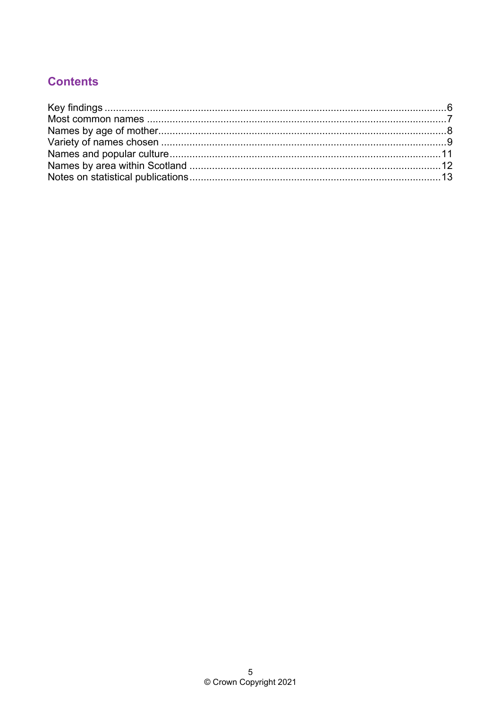# **Contents**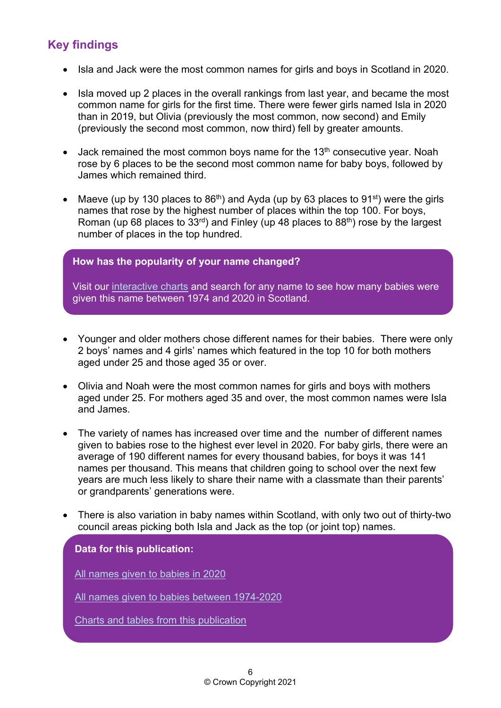# <span id="page-5-0"></span>**Key findings**

- Isla and Jack were the most common names for girls and boys in Scotland in 2020.
- Isla moved up 2 places in the overall rankings from last year, and became the most common name for girls for the first time. There were fewer girls named Isla in 2020 than in 2019, but Olivia (previously the most common, now second) and Emily (previously the second most common, now third) fell by greater amounts.
- Jack remained the most common boys name for the  $13<sup>th</sup>$  consecutive year. Noah rose by 6 places to be the second most common name for baby boys, followed by James which remained third.
- Maeve (up by 130 places to  $86<sup>th</sup>$ ) and Ayda (up by 63 places to  $91<sup>st</sup>$ ) were the girls names that rose by the highest number of places within the top 100. For boys, Roman (up 68 places to 33<sup>rd</sup>) and Finley (up 48 places to 88<sup>th</sup>) rose by the largest number of places in the top hundred.

## **How has the popularity of your name changed?**

Visit our [interactive charts](https://scotland.shinyapps.io/nrs-baby-names/) and search for any name to see how many babies were given this name between 1974 and 2020 in Scotland.

- Younger and older mothers chose different names for their babies. There were only 2 boys' names and 4 girls' names which featured in the top 10 for both mothers aged under 25 and those aged 35 or over.
- Olivia and Noah were the most common names for girls and boys with mothers aged under 25. For mothers aged 35 and over, the most common names were Isla and James.
- The variety of names has increased over time and the number of different names given to babies rose to the highest ever level in 2020. For baby girls, there were an average of 190 different names for every thousand babies, for boys it was 141 names per thousand. This means that children going to school over the next few years are much less likely to share their name with a classmate than their parents' or grandparents' generations were.
- There is also variation in baby names within Scotland, with only two out of thirty-two council areas picking both Isla and Jack as the top (or joint top) names.

#### **Data for this publication:**

[All names given to babies in 2020](https://www.nrscotland.gov.uk/files/statistics/babies-names/20/babies-first-names-20-full-list.xlsx)

[All names given to babies between 1974-2020](https://www.nrscotland.gov.uk/files/statistics/babies-names/20/babies-first-names-all-names-all-years.csv)

[Charts and tables from this publication](https://www.nrscotland.gov.uk/files/statistics/babies-names/20/babies-first-names-20-data.xlsx)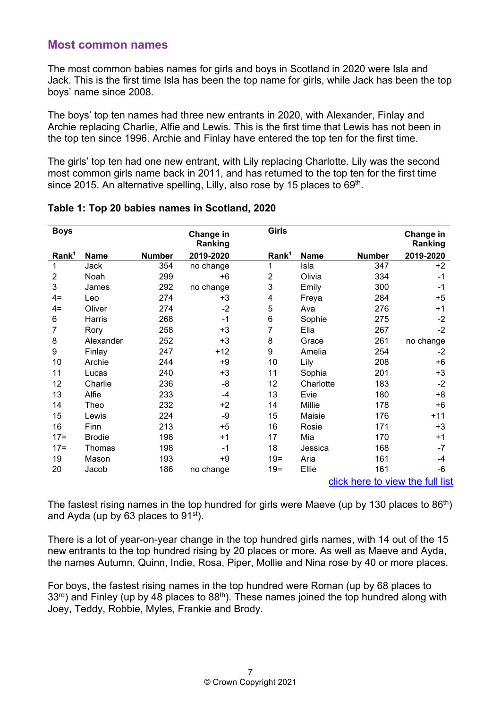## <span id="page-6-0"></span>**Most common names**

The most common babies names for girls and boys in Scotland in 2020 were Isla and Jack. This is the first time Isla has been the top name for girls, while Jack has been the top boys' name since 2008.

The boys' top ten names had three new entrants in 2020, with Alexander, Finlay and Archie replacing Charlie, Alfie and Lewis. This is the first time that Lewis has not been in the top ten since 1996. Archie and Finlay have entered the top ten for the first time.

The girls' top ten had one new entrant, with Lily replacing Charlotte. Lily was the second most common girls name back in 2011, and has returned to the top ten for the first time since 2015. An alternative spelling, Lilly, also rose by 15 places to 69<sup>th</sup>.

| <b>Boys</b>                      |               |               | Change in            | <b>Girls</b>      |             |               | Change in            |  |
|----------------------------------|---------------|---------------|----------------------|-------------------|-------------|---------------|----------------------|--|
| Rank <sup>1</sup>                | <b>Name</b>   | <b>Number</b> | Ranking<br>2019-2020 | Rank <sup>1</sup> | <b>Name</b> | <b>Number</b> | Ranking<br>2019-2020 |  |
|                                  |               |               |                      |                   |             |               |                      |  |
| 1                                | Jack          | 354           | no change            | 1                 | Isla        | 347           | $+2$                 |  |
| $\overline{2}$                   | Noah          | 299           | $+6$                 | $\overline{2}$    | Olivia      | 334           | $-1$                 |  |
| 3                                | James         | 292           | no change            | 3                 | Emily       | 300           | $-1$                 |  |
| $4=$                             | Leo           | 274           | $+3$                 | 4                 | Freya       | 284           | $+5$                 |  |
| $4=$                             | Oliver        | 274           | $-2$                 | 5                 | Ava         | 276           | $+1$                 |  |
| 6                                | Harris        | 268           | $-1$                 | 6                 | Sophie      | 275           | $-2$                 |  |
| 7                                | Rory          | 258           | +3                   | 7                 | Ella        | 267           | $-2$                 |  |
| 8                                | Alexander     | 252           | $+3$                 | 8                 | Grace       | 261           | no change            |  |
| 9                                | Finlay        | 247           | $+12$                | 9                 | Amelia      | 254           | $-2$                 |  |
| 10                               | Archie        | 244           | $+9$                 | 10                | Lily        | 208           | $+6$                 |  |
| 11                               | Lucas         | 240           | +3                   | 11                | Sophia      | 201           | $+3$                 |  |
| 12                               | Charlie       | 236           | -8                   | 12                | Charlotte   | 183           | $-2$                 |  |
| 13                               | Alfie         | 233           | $-4$                 | 13                | Evie        | 180           | +8                   |  |
| 14                               | Theo          | 232           | $+2$                 | 14                | Millie      | 178           | $+6$                 |  |
| 15                               | Lewis         | 224           | -9                   | 15                | Maisie      | 176           | $+11$                |  |
| 16                               | Finn          | 213           | $+5$                 | 16                | Rosie       | 171           | $+3$                 |  |
| $17 =$                           | <b>Brodie</b> | 198           | $+1$                 | 17                | Mia         | 170           | $+1$                 |  |
| $17 =$                           | Thomas        | 198           | $-1$                 | 18                | Jessica     | 168           | -7                   |  |
| 19                               | Mason         | 193           | +9                   | $19 =$            | Aria        | 161           | $-4$                 |  |
| 20                               | Jacob         | 186           | no change            | $19 =$            | Ellie       | 161           | -6                   |  |
| click here to view the full list |               |               |                      |                   |             |               |                      |  |

## **Table 1: Top 20 babies names in Scotland, 2020**

The fastest rising names in the top hundred for girls were Maeve (up by 130 places to  $86<sup>th</sup>$ ) and Ayda (up by 63 places to 91st).

There is a lot of year-on-year change in the top hundred girls names, with 14 out of the 15 new entrants to the top hundred rising by 20 places or more. As well as Maeve and Ayda, the names Autumn, Quinn, Indie, Rosa, Piper, Mollie and Nina rose by 40 or more places.

For boys, the fastest rising names in the top hundred were Roman (up by 68 places to  $33<sup>rd</sup>$ ) and Finley (up by 48 places to  $88<sup>th</sup>$ ). These names joined the top hundred along with Joey, Teddy, Robbie, Myles, Frankie and Brody.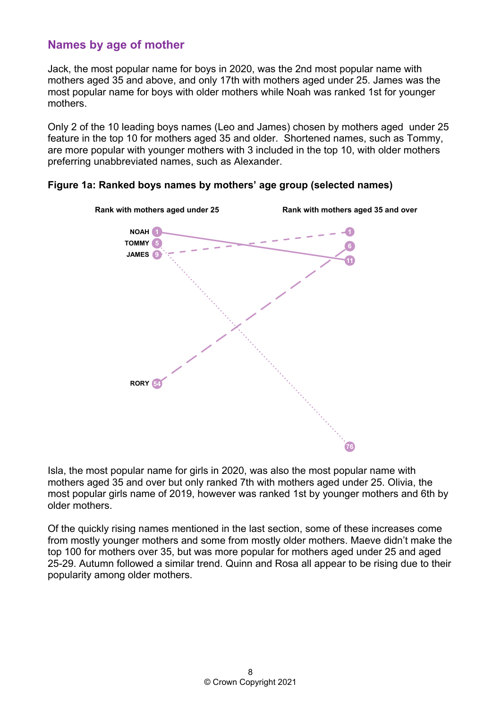# <span id="page-7-0"></span>**Names by age of mother**

Jack, the most popular name for boys in 2020, was the 2nd most popular name with mothers aged 35 and above, and only 17th with mothers aged under 25. James was the most popular name for boys with older mothers while Noah was ranked 1st for younger mothers.

Only 2 of the 10 leading boys names (Leo and James) chosen by mothers aged under 25 feature in the top 10 for mothers aged 35 and older. Shortened names, such as Tommy, are more popular with younger mothers with 3 included in the top 10, with older mothers preferring unabbreviated names, such as Alexander.





Isla, the most popular name for girls in 2020, was also the most popular name with mothers aged 35 and over but only ranked 7th with mothers aged under 25. Olivia, the most popular girls name of 2019, however was ranked 1st by younger mothers and 6th by older mothers.

Of the quickly rising names mentioned in the last section, some of these increases come from mostly younger mothers and some from mostly older mothers. Maeve didn't make the top 100 for mothers over 35, but was more popular for mothers aged under 25 and aged 25-29. Autumn followed a similar trend. Quinn and Rosa all appear to be rising due to their popularity among older mothers.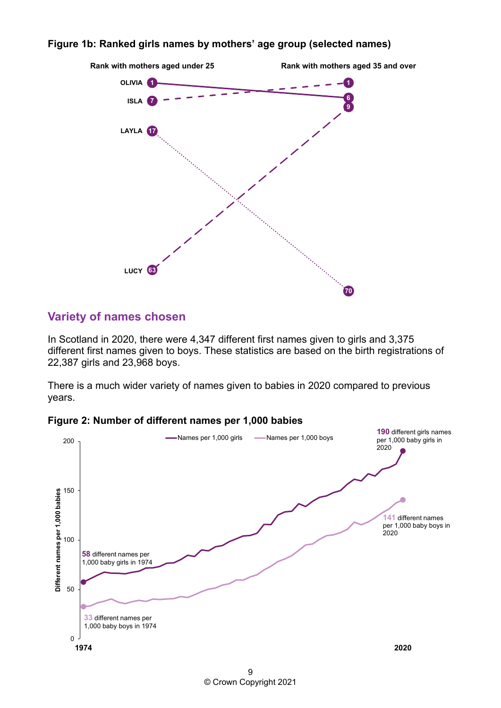#### **Figure 1b: Ranked girls names by mothers' age group (selected names)**



## <span id="page-8-0"></span>**Variety of names chosen**

In Scotland in 2020, there were 4,347 different first names given to girls and 3,375 different first names given to boys. These statistics are based on the birth registrations of 22,387 girls and 23,968 boys.

There is a much wider variety of names given to babies in 2020 compared to previous years.





9 © Crown Copyright 2021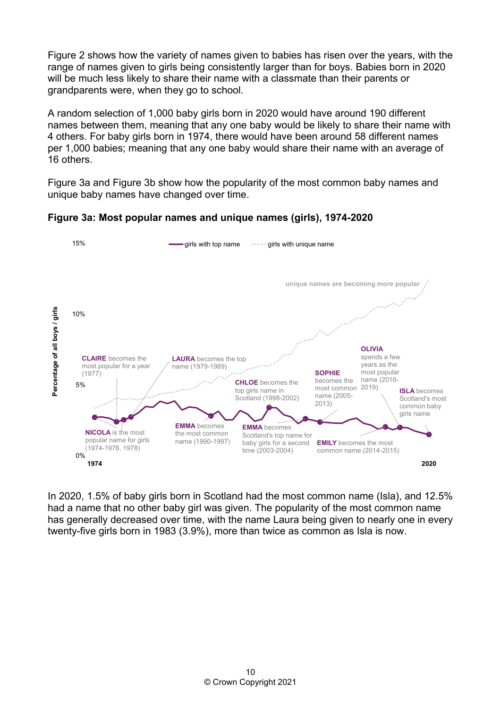Figure 2 shows how the variety of names given to babies has risen over the years, with the range of names given to girls being consistently larger than for boys. Babies born in 2020 will be much less likely to share their name with a classmate than their parents or grandparents were, when they go to school.

A random selection of 1,000 baby girls born in 2020 would have around 190 different names between them, meaning that any one baby would be likely to share their name with 4 others. For baby girls born in 1974, there would have been around 58 different names per 1,000 babies; meaning that any one baby would share their name with an average of 16 others.

Figure 3a and Figure 3b show how the popularity of the most common baby names and unique baby names have changed over time.

**Figure 3a: Most popular names and unique names (girls), 1974-2020**



In 2020, 1.5% of baby girls born in Scotland had the most common name (Isla), and 12.5% had a name that no other baby girl was given. The popularity of the most common name has generally decreased over time, with the name Laura being given to nearly one in every twenty-five girls born in 1983 (3.9%), more than twice as common as Isla is now.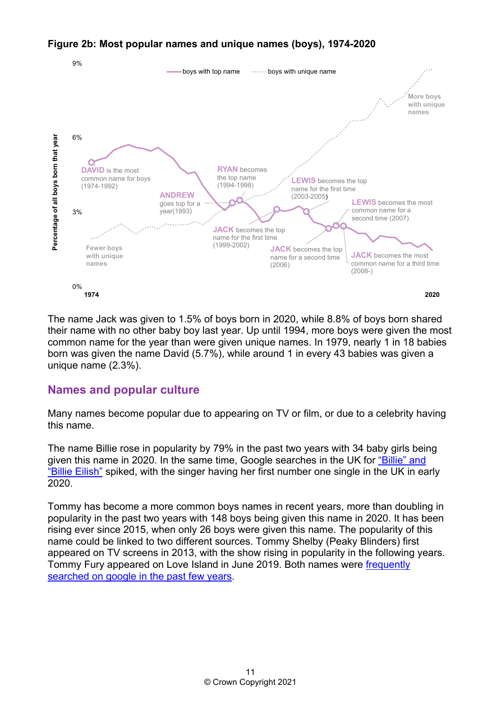## **Figure 2b: Most popular names and unique names (boys), 1974-2020**



The name Jack was given to 1.5% of boys born in 2020, while 8.8% of boys born shared their name with no other baby boy last year. Up until 1994, more boys were given the most common name for the year than were given unique names. In 1979, nearly 1 in 18 babies born was given the name David (5.7%), while around 1 in every 43 babies was given a unique name (2.3%).

## <span id="page-10-0"></span>**Names and popular culture**

Many names become popular due to appearing on TV or film, or due to a celebrity having this name.

The name Billie rose in popularity by 79% in the past two years with 34 baby girls being given this name in 2020. In the same time, Google searches in the UK for ["Billie" and](https://trends.google.com/trends/explore?date=all&geo=GB&q=%2Fg%2F11c75ypgws,Billie)  ["Billie Eilish"](https://trends.google.com/trends/explore?date=all&geo=GB&q=%2Fg%2F11c75ypgws,Billie) spiked, with the singer having her first number one single in the UK in early 2020.

Tommy has become a more common boys names in recent years, more than doubling in popularity in the past two years with 148 boys being given this name in 2020. It has been rising ever since 2015, when only 26 boys were given this name. The popularity of this name could be linked to two different sources. Tommy Shelby (Peaky Blinders) first appeared on TV screens in 2013, with the show rising in popularity in the following years. Tommy Fury appeared on Love Island in June 2019. Both names were [frequently](https://trends.google.com/trends/explore?date=all&geo=GB&q=%2Fg%2F11b72mf57t,%2Fg%2F11j10vp7tv,Tommy)  [searched on google in the past few years.](https://trends.google.com/trends/explore?date=all&geo=GB&q=%2Fg%2F11b72mf57t,%2Fg%2F11j10vp7tv,Tommy)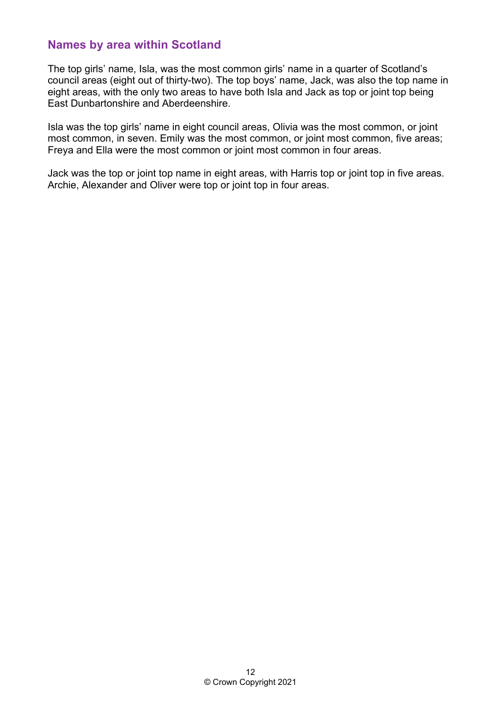# <span id="page-11-0"></span>**Names by area within Scotland**

The top girls' name, Isla, was the most common girls' name in a quarter of Scotland's council areas (eight out of thirty-two). The top boys' name, Jack, was also the top name in eight areas, with the only two areas to have both Isla and Jack as top or joint top being East Dunbartonshire and Aberdeenshire.

Isla was the top girls' name in eight council areas, Olivia was the most common, or joint most common, in seven. Emily was the most common, or joint most common, five areas; Freya and Ella were the most common or joint most common in four areas.

Jack was the top or joint top name in eight areas, with Harris top or joint top in five areas. Archie, Alexander and Oliver were top or joint top in four areas.